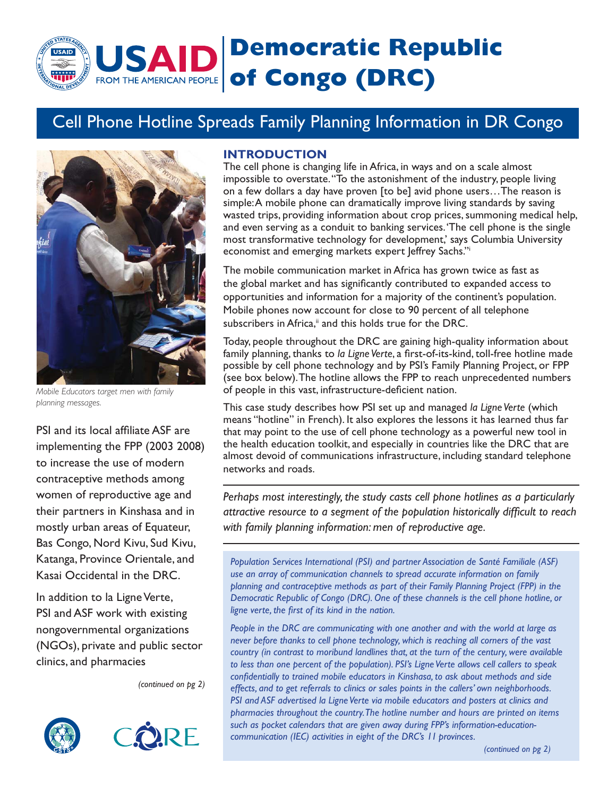# **Democratic Republic SAID** FROM THE AMERICAN PEOPLE **of Congo (DRC)**

# Cell Phone Hotline Spreads Family Planning Information in DR Congo



*Mobile Educators target men with family planning messages.*

PSI and its local affiliate ASF are implementing the FPP (2003 2008) to increase the use of modern contraceptive methods among women of reproductive age and their partners in Kinshasa and in mostly urban areas of Equateur, Bas Congo, Nord Kivu, Sud Kivu, Katanga, Province Orientale, and Kasai Occidental in the DRC.

In addition to la Ligne Verte, PSI and ASF work with existing nongovernmental organizations (NGOs), private and public sector clinics, and pharmacies

*(continued on pg 2)*





#### **INTRODUCTION**

The cell phone is changing life in Africa, in ways and on a scale almost impossible to overstate. "To the astonishment of the industry, people living on a few dollars a day have proven [to be] avid phone users…The reason is simple: A mobile phone can dramatically improve living standards by saving wasted trips, providing information about crop prices, summoning medical help, and even serving as a conduit to banking services. 'The cell phone is the single most transformative technology for development,' says Columbia University economist and emerging markets expert Jeffrey Sachs."i

The mobile communication market in Africa has grown twice as fast as the global market and has significantly contributed to expanded access to opportunities and information for a majority of the continent's population. Mobile phones now account for close to 90 percent of all telephone subscribers in Africa,<sup>ii</sup> and this holds true for the DRC.

Today, people throughout the DRC are gaining high-quality information about family planning, thanks to la Ligne Verte, a first-of-its-kind, toll-free hotline made possible by cell phone technology and by PSI's Family Planning Project, or FPP (see box below). The hotline allows the FPP to reach unprecedented numbers of people in this vast, infrastructure-deficient nation.

This case study describes how PSI set up and managed *la Ligne Verte* (which means "hotline" in French). It also explores the lessons it has learned thus far that may point to the use of cell phone technology as a powerful new tool in the health education toolkit, and especially in countries like the DRC that are almost devoid of communications infrastructure, including standard telephone networks and roads.

*Perhaps most interestingly, the study casts cell phone hotlines as a particularly*  attractive resource to a segment of the population historically difficult to reach *with family planning information: men of reproductive age.*

*Population Services International (PSI) and partner Association de Santé Familiale (ASF) use an array of communication channels to spread accurate information on family planning and contraceptive methods as part of their Family Planning Project (FPP) in the Democratic Republic of Congo (DRC). One of these channels is the cell phone hotline, or ligne verte, the first of its kind in the nation.* 

*People in the DRC are communicating with one another and with the world at large as never before thanks to cell phone technology, which is reaching all corners of the vast country (in contrast to moribund landlines that, at the turn of the century, were available to less than one percent of the population). PSI's Ligne Verte allows cell callers to speak confi dentially to trained mobile educators in Kinshasa, to ask about methods and side effects, and to get referrals to clinics or sales points in the callers' own neighborhoods. PSI and ASF advertised la Ligne Verte via mobile educators and posters at clinics and pharmacies throughout the country. The hotline number and hours are printed on items such as pocket calendars that are given away during FPP's information-educationcommunication (IEC) activities in eight of the DRC's 11 provinces.* 

*(continued on pg 2)*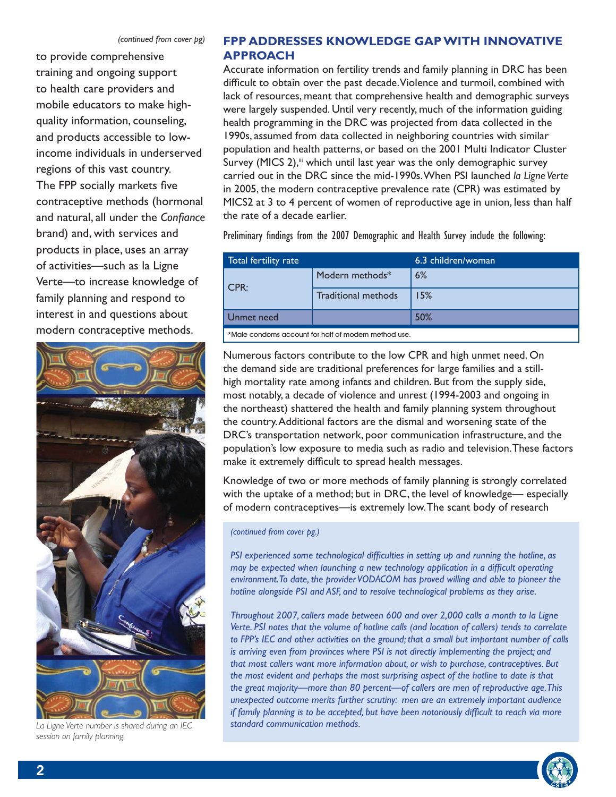to provide comprehensive training and ongoing support to health care providers and mobile educators to make highquality information, counseling, and products accessible to lowincome individuals in underserved regions of this vast country. The FPP socially markets five contraceptive methods (hormonal and natural, all under the *Confiance* brand) and, with services and products in place, uses an array of activities—such as la Ligne Verte—to increase knowledge of family planning and respond to interest in and questions about modern contraceptive methods.



*La Ligne Verte number is shared during an IEC standard communication methods. session on family planning.*

## **FPP ADDRESSES KNOWLEDGE GAP WITH INNOVATIVE APPROACH**

Accurate information on fertility trends and family planning in DRC has been difficult to obtain over the past decade. Violence and turmoil, combined with lack of resources, meant that comprehensive health and demographic surveys were largely suspended. Until very recently, much of the information guiding health programming in the DRC was projected from data collected in the 1990s, assumed from data collected in neighboring countries with similar population and health patterns, or based on the 2001 Multi Indicator Cluster Survey (MICS 2),<sup>ii</sup> which until last year was the only demographic survey carried out in the DRC since the mid-1990s. When PSI launched *la Ligne Verte* in 2005, the modern contraceptive prevalence rate (CPR) was estimated by MICS2 at 3 to 4 percent of women of reproductive age in union, less than half the rate of a decade earlier.

Preliminary findings from the 2007 Demographic and Health Survey include the following:

| Total fertility rate                                                                                                                                                                                                          |                     | 6.3 children/woman |  |  |
|-------------------------------------------------------------------------------------------------------------------------------------------------------------------------------------------------------------------------------|---------------------|--------------------|--|--|
| CPR:                                                                                                                                                                                                                          | Modern methods*     | 6%                 |  |  |
|                                                                                                                                                                                                                               | Traditional methods | 15%                |  |  |
| Unmet need                                                                                                                                                                                                                    |                     | 50%                |  |  |
| ARRIVED TO A REPORT OF A REPORT OF A REPORT OF A REPORT OF A REPORT OF A REPORT OF A REPORT OF A REPORT OF A REPORT OF A REPORT OF A REPORT OF A REPORT OF A REPORT OF A REPORT OF A REPORT OF A REPORT OF A REPORT OF A REPO |                     |                    |  |  |

\*Male condoms account for half of modern method use..

Numerous factors contribute to the low CPR and high unmet need. On the demand side are traditional preferences for large families and a stillhigh mortality rate among infants and children. But from the supply side, most notably, a decade of violence and unrest (1994-2003 and ongoing in the northeast) shattered the health and family planning system throughout the country. Additional factors are the dismal and worsening state of the DRC's transportation network, poor communication infrastructure, and the population's low exposure to media such as radio and television. These factors make it extremely difficult to spread health messages.

Knowledge of two or more methods of family planning is strongly correlated with the uptake of a method; but in DRC, the level of knowledge— especially of modern contraceptives—is extremely low. The scant body of research

*(continued from cover pg.)*

*PSI experienced some technological difficulties in setting up and running the hotline, as may be expected when launching a new technology application in a difficult operating environment. To date, the provider VODACOM has proved willing and able to pioneer the hotline alongside PSI and ASF, and to resolve technological problems as they arise.*

*Throughout 2007, callers made between 600 and over 2,000 calls a month to la Ligne Verte. PSI notes that the volume of hotline calls (and location of callers) tends to correlate to FPP's IEC and other activities on the ground; that a small but important number of calls is arriving even from provinces where PSI is not directly implementing the project; and that most callers want more information about, or wish to purchase, contraceptives. But the most evident and perhaps the most surprising aspect of the hotline to date is that the great majority—more than 80 percent—of callers are men of reproductive age. This unexpected outcome merits further scrutiny: men are an extremely important audience if family planning is to be accepted, but have been notoriously difficult to reach via more* 

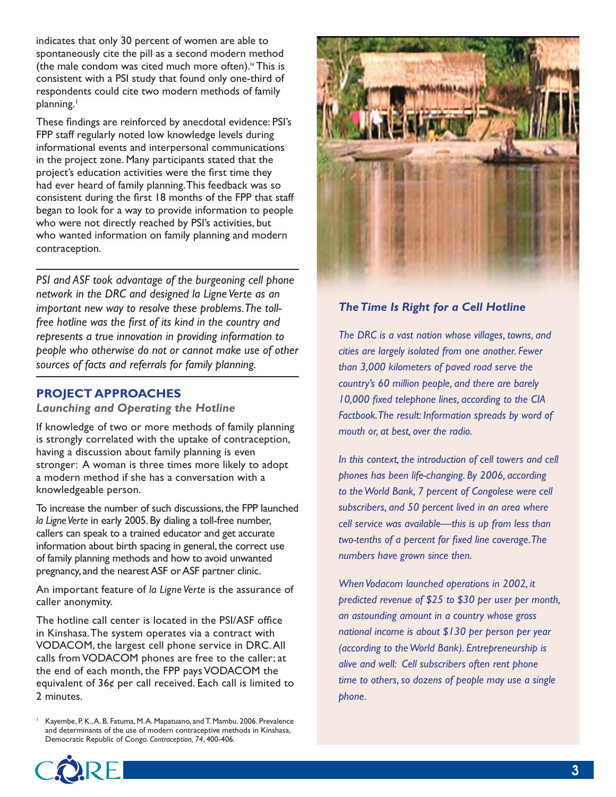indicates that only 30 percent of women are able to spontaneously cite the pill as a second modern method (the male condom was cited much more often).<sup>iv</sup> This is consistent with a PSI study that found only one-third of respondents could cite two modern methods of family planning.<sup>1</sup>

These findings are reinforced by anecdotal evidence: PSI's FPP staff regularly noted low knowledge levels during informational events and interpersonal communications in the project zone. Many participants stated that the project's education activities were the first time they had ever heard of family planning. This feedback was so consistent during the first 18 months of the FPP that staff began to look for a way to provide information to people who were not directly reached by PSI's activities, but who wanted information on family planning and modern contraception.

*PSI and ASF took advantage of the burgeoning cell phone network in the DRC and designed la Ligne Verte as an important new way to resolve these problems. The toll*free hotline was the first of its kind in the country and *represents a true innovation in providing information to people who otherwise do not or cannot make use of other sources of facts and referrals for family planning.*

# **PROJECT APPROACHES**

#### *Launching and Operating the Hotline*

If knowledge of two or more methods of family planning is strongly correlated with the uptake of contraception, having a discussion about family planning is even stronger: A woman is three times more likely to adopt a modern method if she has a conversation with a knowledgeable person.

To increase the number of such discussions, the FPP launched *la Ligne Verte* in early 2005. By dialing a toll-free number, callers can speak to a trained educator and get accurate information about birth spacing in general, the correct use of family planning methods and how to avoid unwanted pregnancy, and the nearest ASF or ASF partner clinic.

An important feature of *la Ligne Verte* is the assurance of caller anonymity.

The hotline call center is located in the PSI/ASF office in Kinshasa. The system operates via a contract with VODACOM, the largest cell phone service in DRC. All calls from VODACOM phones are free to the caller; at the end of each month, the FPP pays VODACOM the equivalent of 36¢ per call received. Each call is limited to 2 minutes.

Kayembe, P. K., A. B. Fatuma, M. A. Mapatuano, and T. Mambu. 2006. Prevalence and determinants of the use of modern contraceptive methods in Kinshasa, Democratic Republic of Congo. *Contraception, 74*, 400-406.



# *The Time Is Right for a Cell Hotline*

*The DRC is a vast nation whose villages, towns, and cities are largely isolated from one another. Fewer than 3,000 kilometers of paved road serve the country's 60 million people, and there are barely*  10,000 fixed telephone lines, according to the CIA *Factbook. The result: Information spreads by word of mouth or, at best, over the radio.*

*In this context, the introduction of cell towers and cell phones has been life-changing. By 2006, according to the World Bank, 7 percent of Congolese were cell subscribers, and 50 percent lived in an area where cell service was available—this is up from less than*  two-tenths of a percent for fixed line coverage. The *numbers have grown since then.*

*When Vodacom launched operations in 2002, it predicted revenue of \$25 to \$30 per user per month, an astounding amount in a country whose gross national income is about \$130 per person per year (according to the World Bank). Entrepreneurship is alive and well: Cell subscribers often rent phone time to others, so dozens of people may use a single phone.*

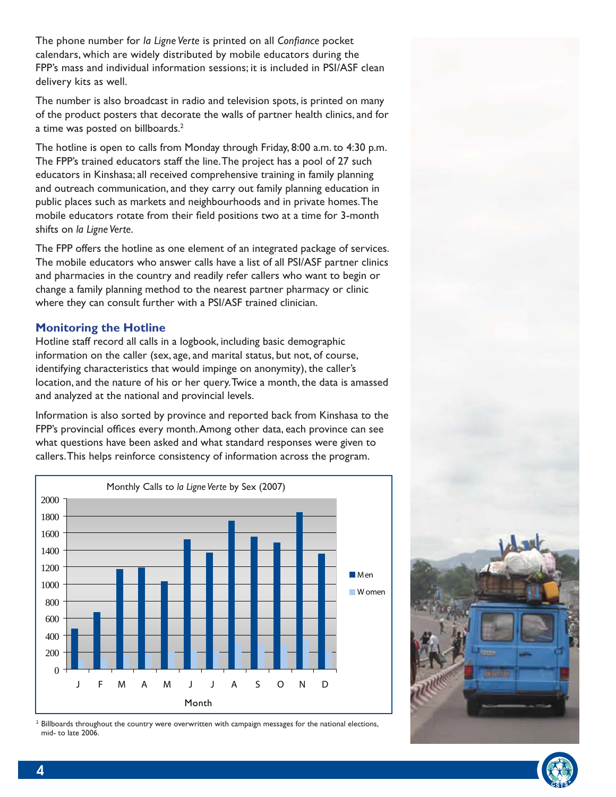The phone number for *la Ligne* Verte is printed on all *Confiance* pocket calendars, which are widely distributed by mobile educators during the FPP's mass and individual information sessions; it is included in PSI/ASF clean delivery kits as well.

The number is also broadcast in radio and television spots, is printed on many of the product posters that decorate the walls of partner health clinics, and for a time was posted on billboards.2

The hotline is open to calls from Monday through Friday, 8:00 a.m. to 4:30 p.m. The FPP's trained educators staff the line. The project has a pool of 27 such educators in Kinshasa; all received comprehensive training in family planning and outreach communication, and they carry out family planning education in public places such as markets and neighbourhoods and in private homes. The mobile educators rotate from their field positions two at a time for 3-month shifts on *la Ligne Verte*.

The FPP offers the hotline as one element of an integrated package of services. The mobile educators who answer calls have a list of all PSI/ASF partner clinics and pharmacies in the country and readily refer callers who want to begin or change a family planning method to the nearest partner pharmacy or clinic where they can consult further with a PSI/ASF trained clinician.

#### **Monitoring the Hotline**

Hotline staff record all calls in a logbook, including basic demographic information on the caller (sex, age, and marital status, but not, of course, identifying characteristics that would impinge on anonymity), the caller's location, and the nature of his or her query. Twice a month, the data is amassed and analyzed at the national and provincial levels.

Information is also sorted by province and reported back from Kinshasa to the FPP's provincial offices every month. Among other data, each province can see what questions have been asked and what standard responses were given to callers. This helps reinforce consistency of information across the program.



<sup>2</sup> Billboards throughout the country were overwritten with campaign messages for the national elections, mid- to late 2006.



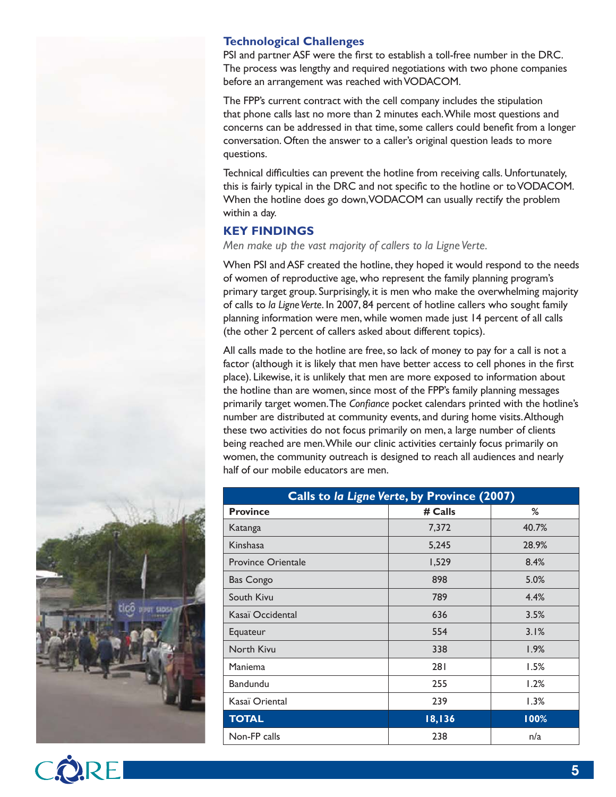# **Technological Challenges**

PSI and partner ASF were the first to establish a toll-free number in the DRC. The process was lengthy and required negotiations with two phone companies before an arrangement was reached with VODACOM.

The FPP's current contract with the cell company includes the stipulation that phone calls last no more than 2 minutes each. While most questions and concerns can be addressed in that time, some callers could benefit from a longer conversation. Often the answer to a caller's original question leads to more questions.

Technical difficulties can prevent the hotline from receiving calls. Unfortunately, this is fairly typical in the DRC and not specific to the hotline or to VODACOM. When the hotline does go down, VODACOM can usually rectify the problem within a day.

### **KEY FINDINGS**

*Men make up the vast majority of callers to la Ligne Verte.*

When PSI and ASF created the hotline, they hoped it would respond to the needs of women of reproductive age, who represent the family planning program's primary target group. Surprisingly, it is men who make the overwhelming majority of calls to *la Ligne Verte*. In 2007, 84 percent of hotline callers who sought family planning information were men, while women made just 14 percent of all calls (the other 2 percent of callers asked about different topics).

All calls made to the hotline are free, so lack of money to pay for a call is not a factor (although it is likely that men have better access to cell phones in the first place). Likewise, it is unlikely that men are more exposed to information about the hotline than are women, since most of the FPP's family planning messages primarily target women. The *Confiance* pocket calendars printed with the hotline's number are distributed at community events, and during home visits. Although these two activities do not focus primarily on men, a large number of clients being reached are men. While our clinic activities certainly focus primarily on women, the community outreach is designed to reach all audiences and nearly half of our mobile educators are men.

| Calls to la Ligne Verte, by Province (2007) |         |       |  |  |
|---------------------------------------------|---------|-------|--|--|
| <b>Province</b>                             | # Calls | %     |  |  |
| Katanga                                     | 7,372   | 40.7% |  |  |
| Kinshasa                                    | 5,245   | 28.9% |  |  |
| <b>Province Orientale</b>                   | 1,529   | 8.4%  |  |  |
| <b>Bas Congo</b>                            | 898     | 5.0%  |  |  |
| South Kivu                                  | 789     | 4.4%  |  |  |
| Kasaï Occidental                            | 636     | 3.5%  |  |  |
| Equateur                                    | 554     | 3.1%  |  |  |
| North Kivu                                  | 338     | 1.9%  |  |  |
| Maniema                                     | 281     | 1.5%  |  |  |
| <b>Bandundu</b>                             | 255     | 1.2%  |  |  |
| Kasaï Oriental                              | 239     | 1.3%  |  |  |
| <b>TOTAL</b>                                | 18,136  | 100%  |  |  |
| Non-FP calls                                | 238     | n/a   |  |  |



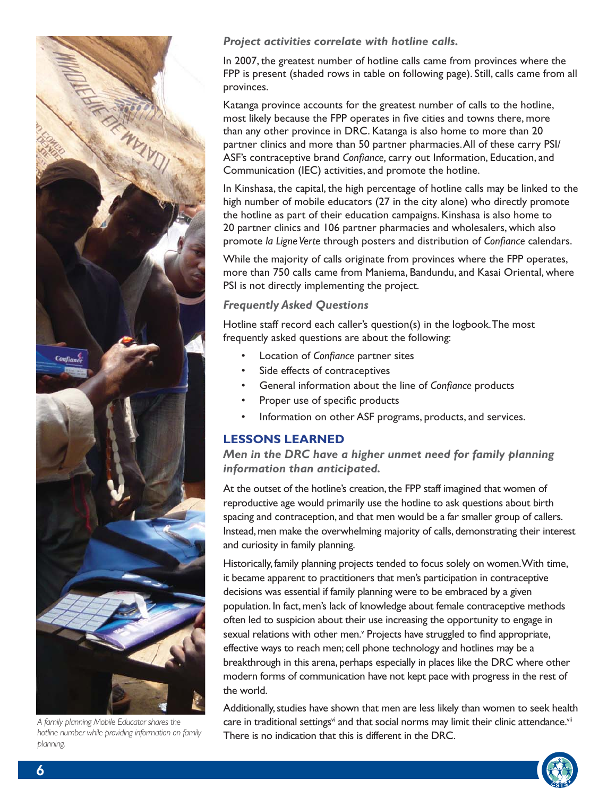

*A family planning Mobile Educator shares the hotline number while providing information on family planning.* 

*Project activities correlate with hotline calls.*

In 2007, the greatest number of hotline calls came from provinces where the FPP is present (shaded rows in table on following page). Still, calls came from all provinces.

Katanga province accounts for the greatest number of calls to the hotline, most likely because the FPP operates in five cities and towns there, more than any other province in DRC. Katanga is also home to more than 20 partner clinics and more than 50 partner pharmacies. All of these carry PSI/ ASF's contraceptive brand *Confiance*, carry out Information, Education, and Communication (IEC) activities, and promote the hotline.

In Kinshasa, the capital, the high percentage of hotline calls may be linked to the high number of mobile educators (27 in the city alone) who directly promote the hotline as part of their education campaigns. Kinshasa is also home to 20 partner clinics and 106 partner pharmacies and wholesalers, which also promote *la Ligne Verte* through posters and distribution of *Confiance* calendars.

While the majority of calls originate from provinces where the FPP operates, more than 750 calls came from Maniema, Bandundu, and Kasai Oriental, where PSI is not directly implementing the project.

### *Frequently Asked Questions*

Hotline staff record each caller's question(s) in the logbook. The most frequently asked questions are about the following:

- **Location of Confiance partner sites**
- Side effects of contraceptives
- General information about the line of *Confiance* products
- Proper use of specific products
- Information on other ASF programs, products, and services.

## **LESSONS LEARNED**

*Men in the DRC have a higher unmet need for family planning information than anticipated.* 

At the outset of the hotline's creation, the FPP staff imagined that women of reproductive age would primarily use the hotline to ask questions about birth spacing and contraception, and that men would be a far smaller group of callers. Instead, men make the overwhelming majority of calls, demonstrating their interest and curiosity in family planning.

Historically, family planning projects tended to focus solely on women. With time, it became apparent to practitioners that men's participation in contraceptive decisions was essential if family planning were to be embraced by a given population. In fact, men's lack of knowledge about female contraceptive methods often led to suspicion about their use increasing the opportunity to engage in sexual relations with other men.<sup>v</sup> Projects have struggled to find appropriate, effective ways to reach men; cell phone technology and hotlines may be a breakthrough in this arena, perhaps especially in places like the DRC where other modern forms of communication have not kept pace with progress in the rest of the world.

Additionally, studies have shown that men are less likely than women to seek health care in traditional settings<sup>vi</sup> and that social norms may limit their clinic attendance.<sup>vii</sup> There is no indication that this is different in the DRC.

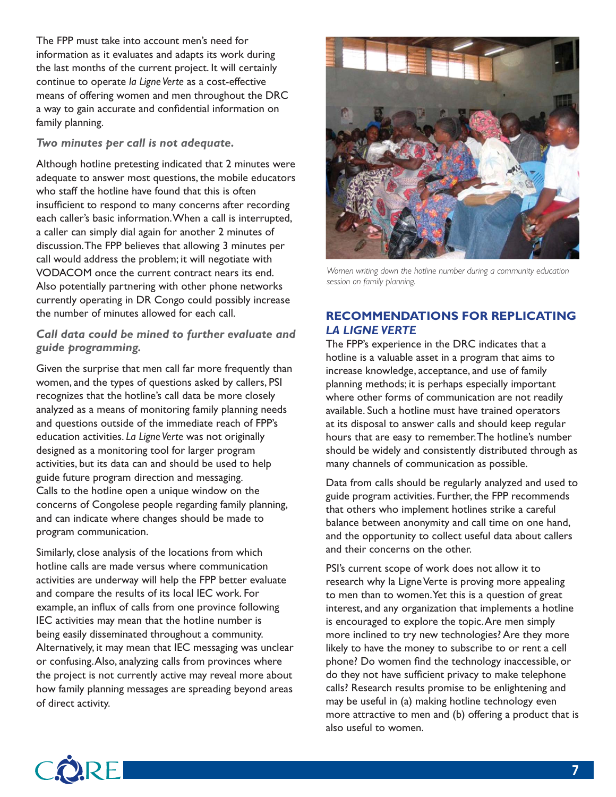The FPP must take into account men's need for information as it evaluates and adapts its work during the last months of the current project. It will certainly continue to operate *la Ligne Verte* as a cost-effective means of offering women and men throughout the DRC a way to gain accurate and confidential information on family planning.

#### *Two minutes per call is not adequate.*

Although hotline pretesting indicated that 2 minutes were adequate to answer most questions, the mobile educators who staff the hotline have found that this is often insufficient to respond to many concerns after recording each caller's basic information. When a call is interrupted, a caller can simply dial again for another 2 minutes of discussion. The FPP believes that allowing 3 minutes per call would address the problem; it will negotiate with VODACOM once the current contract nears its end. Also potentially partnering with other phone networks currently operating in DR Congo could possibly increase the number of minutes allowed for each call.

#### *Call data could be mined to further evaluate and guide programming.*

Given the surprise that men call far more frequently than women, and the types of questions asked by callers, PSI recognizes that the hotline's call data be more closely analyzed as a means of monitoring family planning needs and questions outside of the immediate reach of FPP's education activities. *La Ligne Verte* was not originally designed as a monitoring tool for larger program activities, but its data can and should be used to help guide future program direction and messaging. Calls to the hotline open a unique window on the concerns of Congolese people regarding family planning, and can indicate where changes should be made to program communication.

Similarly, close analysis of the locations from which hotline calls are made versus where communication activities are underway will help the FPP better evaluate and compare the results of its local IEC work. For example, an influx of calls from one province following IEC activities may mean that the hotline number is being easily disseminated throughout a community. Alternatively, it may mean that IEC messaging was unclear or confusing. Also, analyzing calls from provinces where the project is not currently active may reveal more about how family planning messages are spreading beyond areas of direct activity.



*Women writing down the hotline number during a community education session on family planning.*

# **RECOMMENDATIONS FOR REPLICATING**  *LA LIGNE VERTE*

The FPP's experience in the DRC indicates that a hotline is a valuable asset in a program that aims to increase knowledge, acceptance, and use of family planning methods; it is perhaps especially important where other forms of communication are not readily available. Such a hotline must have trained operators at its disposal to answer calls and should keep regular hours that are easy to remember. The hotline's number should be widely and consistently distributed through as many channels of communication as possible.

Data from calls should be regularly analyzed and used to guide program activities. Further, the FPP recommends that others who implement hotlines strike a careful balance between anonymity and call time on one hand, and the opportunity to collect useful data about callers and their concerns on the other.

PSI's current scope of work does not allow it to research why la Ligne Verte is proving more appealing to men than to women. Yet this is a question of great interest, and any organization that implements a hotline is encouraged to explore the topic. Are men simply more inclined to try new technologies? Are they more likely to have the money to subscribe to or rent a cell phone? Do women find the technology inaccessible, or do they not have sufficient privacy to make telephone calls? Research results promise to be enlightening and may be useful in (a) making hotline technology even more attractive to men and (b) offering a product that is also useful to women.